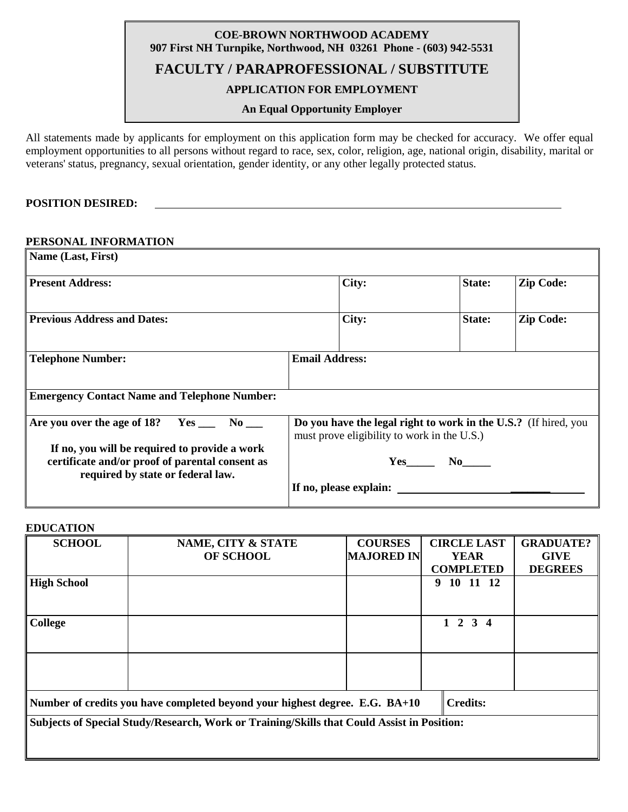# **COE-BROWN NORTHWOOD ACADEMY 907 First NH Turnpike, Northwood, NH 03261 Phone - (603) 942-5531 FACULTY / PARAPROFESSIONAL / SUBSTITUTE**

# **APPLICATION FOR EMPLOYMENT**

## **An Equal Opportunity Employer**

All statements made by applicants for employment on this application form may be checked for accuracy. We offer equal employment opportunities to all persons without regard to race, sex, color, religion, age, national origin, disability, marital or veterans' status, pregnancy, sexual orientation, gender identity, or any other legally protected status.

### **POSITION DESIRED:**

### **PERSONAL INFORMATION**

| Name (Last, First)                                                                                                                    |                                                                                                                |               |                  |
|---------------------------------------------------------------------------------------------------------------------------------------|----------------------------------------------------------------------------------------------------------------|---------------|------------------|
| <b>Present Address:</b>                                                                                                               | City:                                                                                                          | <b>State:</b> | <b>Zip Code:</b> |
| <b>Previous Address and Dates:</b>                                                                                                    | City:                                                                                                          | State:        | <b>Zip Code:</b> |
| <b>Telephone Number:</b>                                                                                                              | <b>Email Address:</b>                                                                                          |               |                  |
| <b>Emergency Contact Name and Telephone Number:</b>                                                                                   |                                                                                                                |               |                  |
| Are you over the age of 18? $Yes \_ No \_ No$                                                                                         | Do you have the legal right to work in the U.S.? (If hired, you<br>must prove eligibility to work in the U.S.) |               |                  |
| If no, you will be required to provide a work<br>certificate and/or proof of parental consent as<br>required by state or federal law. |                                                                                                                | $Yes$ No      |                  |
|                                                                                                                                       | If no, please explain:                                                                                         |               |                  |

### **EDUCATION**

| <b>SCHOOL</b>                                                                              | NAME, CITY & STATE                                                          | <b>COURSES</b>    | <b>CIRCLE LAST</b> | <b>GRADUATE?</b> |
|--------------------------------------------------------------------------------------------|-----------------------------------------------------------------------------|-------------------|--------------------|------------------|
|                                                                                            | OF SCHOOL                                                                   | <b>MAJORED IN</b> | <b>YEAR</b>        | <b>GIVE</b>      |
|                                                                                            |                                                                             |                   | <b>COMPLETED</b>   | <b>DEGREES</b>   |
| <b>High School</b>                                                                         |                                                                             |                   | 10 11 12<br>9      |                  |
|                                                                                            |                                                                             |                   |                    |                  |
|                                                                                            |                                                                             |                   |                    |                  |
| College                                                                                    |                                                                             |                   | $1 \t2 \t3 \t4$    |                  |
|                                                                                            |                                                                             |                   |                    |                  |
|                                                                                            |                                                                             |                   |                    |                  |
|                                                                                            |                                                                             |                   |                    |                  |
|                                                                                            |                                                                             |                   |                    |                  |
|                                                                                            |                                                                             |                   |                    |                  |
|                                                                                            | Number of credits you have completed beyond your highest degree. E.G. BA+10 |                   | <b>Credits:</b>    |                  |
| Subjects of Special Study/Research, Work or Training/Skills that Could Assist in Position: |                                                                             |                   |                    |                  |
|                                                                                            |                                                                             |                   |                    |                  |
|                                                                                            |                                                                             |                   |                    |                  |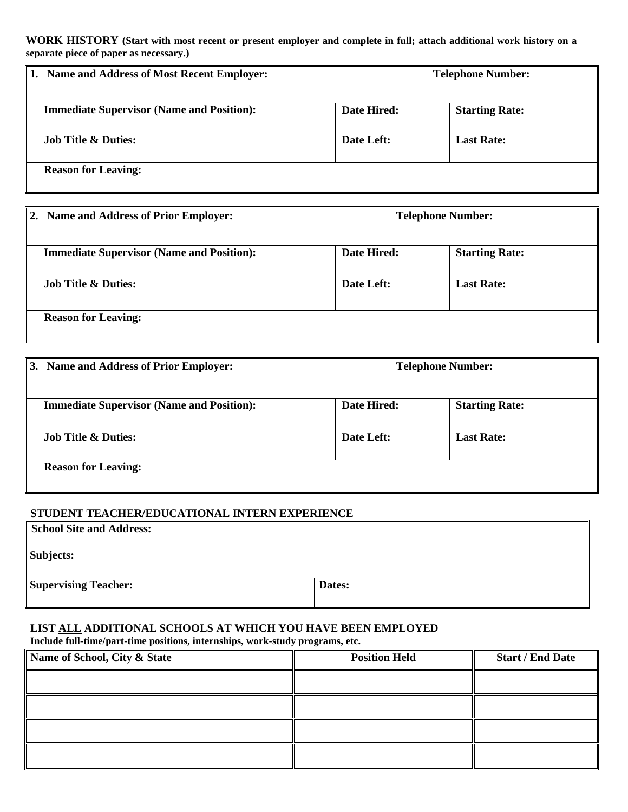**WORK HISTORY (Start with most recent or present employer and complete in full; attach additional work history on a separate piece of paper as necessary.)**

| <b>Name and Address of Most Recent Employer:</b> | <b>Telephone Number:</b> |                       |
|--------------------------------------------------|--------------------------|-----------------------|
| <b>Immediate Supervisor (Name and Position):</b> | Date Hired:              | <b>Starting Rate:</b> |
| <b>Job Title &amp; Duties:</b>                   | Date Left:               | <b>Last Rate:</b>     |
| <b>Reason for Leaving:</b>                       |                          |                       |

| 2. Name and Address of Prior Employer:           |             | <b>Telephone Number:</b> |
|--------------------------------------------------|-------------|--------------------------|
| <b>Immediate Supervisor (Name and Position):</b> | Date Hired: | <b>Starting Rate:</b>    |
| <b>Job Title &amp; Duties:</b>                   | Date Left:  | <b>Last Rate:</b>        |
| <b>Reason for Leaving:</b>                       |             |                          |

| 3. Name and Address of Prior Employer:           | <b>Telephone Number:</b> |                       |
|--------------------------------------------------|--------------------------|-----------------------|
| <b>Immediate Supervisor (Name and Position):</b> | Date Hired:              | <b>Starting Rate:</b> |
| <b>Job Title &amp; Duties:</b>                   | Date Left:               | <b>Last Rate:</b>     |
| <b>Reason for Leaving:</b>                       |                          |                       |

## **STUDENT TEACHER/EDUCATIONAL INTERN EXPERIENCE**

| <b>School Site and Address:</b> |        |
|---------------------------------|--------|
| Subjects:                       |        |
| <b>Supervising Teacher:</b>     | Dates: |

# **LIST ALL ADDITIONAL SCHOOLS AT WHICH YOU HAVE BEEN EMPLOYED**

**Include full-time/part-time positions, internships, work-study programs, etc.**

| Name of School, City & State | <b>Position Held</b> | <b>Start / End Date</b> |
|------------------------------|----------------------|-------------------------|
|                              |                      |                         |
|                              |                      |                         |
|                              |                      |                         |
|                              |                      |                         |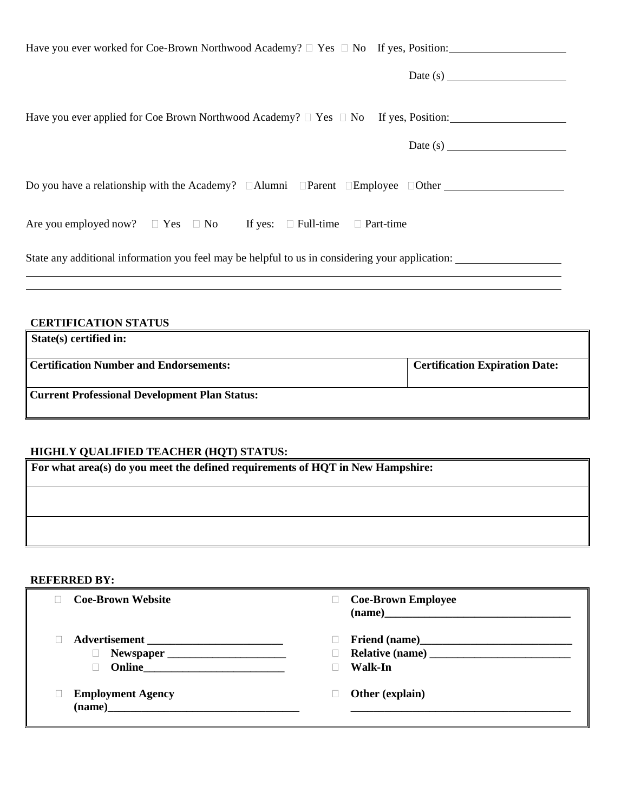| Have you ever worked for Coe-Brown Northwood Academy? □ Yes □ No If yes, Position:                                                                                                                                                                                                                                                                                                                          |
|-------------------------------------------------------------------------------------------------------------------------------------------------------------------------------------------------------------------------------------------------------------------------------------------------------------------------------------------------------------------------------------------------------------|
|                                                                                                                                                                                                                                                                                                                                                                                                             |
| Have you ever applied for Coe Brown Northwood Academy? □ Yes □ No If yes, Position:                                                                                                                                                                                                                                                                                                                         |
| Date (s) $\frac{1}{\sqrt{1-\frac{1}{2}}\sqrt{1-\frac{1}{2}}\sqrt{1-\frac{1}{2}}\sqrt{1-\frac{1}{2}}\sqrt{1-\frac{1}{2}}\sqrt{1-\frac{1}{2}}\sqrt{1-\frac{1}{2}}\sqrt{1-\frac{1}{2}}\sqrt{1-\frac{1}{2}}\sqrt{1-\frac{1}{2}}\sqrt{1-\frac{1}{2}}\sqrt{1-\frac{1}{2}}\sqrt{1-\frac{1}{2}}\sqrt{1-\frac{1}{2}}\sqrt{1-\frac{1}{2}}\sqrt{1-\frac{1}{2}}\sqrt{1-\frac{1}{2}}\sqrt{1-\frac{1}{2}}\sqrt{1-\frac{1$ |
| Do you have a relationship with the Academy? $\Box$ Alumni $\Box$ Parent $\Box$ Employee $\Box$ Other                                                                                                                                                                                                                                                                                                       |
| Are you employed now? $\Box$ Yes $\Box$ No If yes: $\Box$ Full-time $\Box$ Part-time                                                                                                                                                                                                                                                                                                                        |
| State any additional information you feel may be helpful to us in considering your application:                                                                                                                                                                                                                                                                                                             |
|                                                                                                                                                                                                                                                                                                                                                                                                             |
| <b>CERTIFICATION STATUS</b>                                                                                                                                                                                                                                                                                                                                                                                 |

| State(s) certified in:                               |                                       |
|------------------------------------------------------|---------------------------------------|
| <b>Certification Number and Endorsements:</b>        | <b>Certification Expiration Date:</b> |
| <b>Current Professional Development Plan Status:</b> |                                       |

# **HIGHLY QUALIFIED TEACHER (HQT) STATUS:**

| For what area(s) do you meet the defined requirements of HQT in New Hampshire: |  |
|--------------------------------------------------------------------------------|--|
|                                                                                |  |
|                                                                                |  |

## **REFERRED BY:**

| <b>Coe-Brown Website</b>           | <b>Coe-Brown Employee</b><br>$\boxed{(name)} \qquad \qquad \qquad \qquad \boxed{m}$ |
|------------------------------------|-------------------------------------------------------------------------------------|
|                                    | Walk-In                                                                             |
| <b>Employment Agency</b><br>(name) | Other (explain)                                                                     |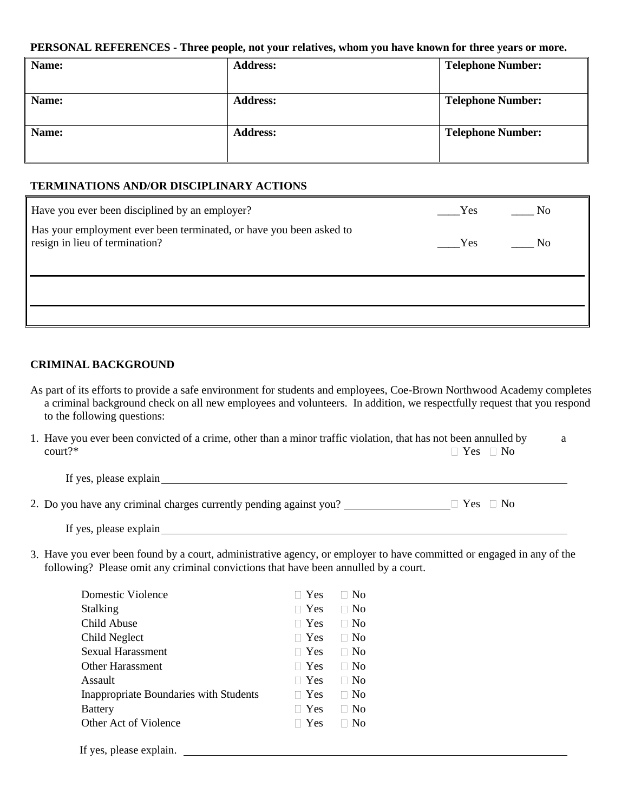### **PERSONAL REFERENCES - Three people, not your relatives, whom you have known for three years or more.**

| Name: | <b>Address:</b> | <b>Telephone Number:</b> |
|-------|-----------------|--------------------------|
|       |                 |                          |
| Name: | <b>Address:</b> | <b>Telephone Number:</b> |
| Name: | <b>Address:</b> | <b>Telephone Number:</b> |
|       |                 |                          |
|       |                 |                          |

## **TERMINATIONS AND/OR DISCIPLINARY ACTIONS**

| Have you ever been disciplined by an employer?                                                        | Yes        | $\mathbf{N}\mathbf{o}$ |
|-------------------------------------------------------------------------------------------------------|------------|------------------------|
| Has your employment ever been terminated, or have you been asked to<br>resign in lieu of termination? | <b>Yes</b> | N <sub>0</sub>         |
|                                                                                                       |            |                        |
|                                                                                                       |            |                        |

## **CRIMINAL BACKGROUND**

As part of its efforts to provide a safe environment for students and employees, Coe-Brown Northwood Academy completes a criminal background check on all new employees and volunteers. In addition, we respectfully request that you respond to the following questions:

|                  | 1. Have you ever been convicted of a crime, other than a minor traffic violation, that has not been annulled by |  |
|------------------|-----------------------------------------------------------------------------------------------------------------|--|
| $\text{court?*}$ | $\Box$ Yes $\Box$ No                                                                                            |  |

If yes, please explain

2. Do you have any criminal charges currently pending against you?  $\Box$  Yes  $\Box$  Yes  $\Box$  No

If yes, please explain

3. Have you ever been found by a court, administrative agency, or employer to have committed or engaged in any of the following? Please omit any criminal convictions that have been annulled by a court.

| Domestic Violence                             | Yes        | N <sub>0</sub> |
|-----------------------------------------------|------------|----------------|
| <b>Stalking</b>                               | Yes        | N <sub>0</sub> |
| Child Abuse                                   | Yes        | N <sub>0</sub> |
| Child Neglect                                 | $\Box$ Yes | No             |
| <b>Sexual Harassment</b>                      | $\Box$ Yes | N <sub>0</sub> |
| <b>Other Harassment</b>                       | $\Box$ Yes | No             |
| Assault                                       | $\Box$ Yes | N <sub>0</sub> |
| <b>Inappropriate Boundaries with Students</b> | Yes        | N <sub>0</sub> |
| <b>Battery</b>                                | Yes        | No             |
| Other Act of Violence                         | Yes        | No             |
|                                               |            |                |

If yes, please explain.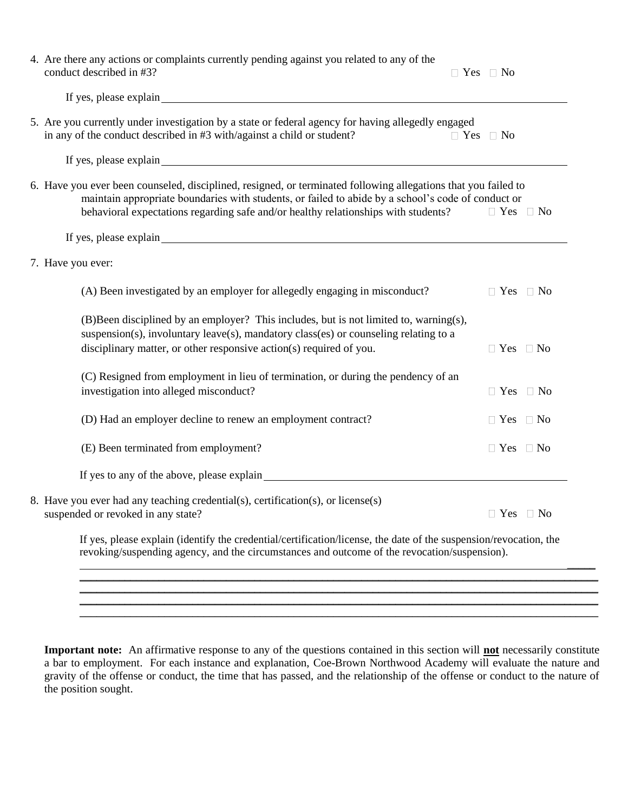| 4. Are there any actions or complaints currently pending against you related to any of the<br>conduct described in #3? |                                                                                                       |                                                                                                                                                                                                                                                                                                                                                                                                                                                                                                                                                                                                                                                                                                  |                                                                                                                                                                                                                                                                                                                                                                                                                                                                                                                                                                                                                                        |
|------------------------------------------------------------------------------------------------------------------------|-------------------------------------------------------------------------------------------------------|--------------------------------------------------------------------------------------------------------------------------------------------------------------------------------------------------------------------------------------------------------------------------------------------------------------------------------------------------------------------------------------------------------------------------------------------------------------------------------------------------------------------------------------------------------------------------------------------------------------------------------------------------------------------------------------------------|----------------------------------------------------------------------------------------------------------------------------------------------------------------------------------------------------------------------------------------------------------------------------------------------------------------------------------------------------------------------------------------------------------------------------------------------------------------------------------------------------------------------------------------------------------------------------------------------------------------------------------------|
| If yes, please explain explain                                                                                         |                                                                                                       |                                                                                                                                                                                                                                                                                                                                                                                                                                                                                                                                                                                                                                                                                                  |                                                                                                                                                                                                                                                                                                                                                                                                                                                                                                                                                                                                                                        |
| in any of the conduct described in #3 with/against a child or student?                                                 |                                                                                                       |                                                                                                                                                                                                                                                                                                                                                                                                                                                                                                                                                                                                                                                                                                  |                                                                                                                                                                                                                                                                                                                                                                                                                                                                                                                                                                                                                                        |
|                                                                                                                        |                                                                                                       |                                                                                                                                                                                                                                                                                                                                                                                                                                                                                                                                                                                                                                                                                                  |                                                                                                                                                                                                                                                                                                                                                                                                                                                                                                                                                                                                                                        |
|                                                                                                                        |                                                                                                       |                                                                                                                                                                                                                                                                                                                                                                                                                                                                                                                                                                                                                                                                                                  |                                                                                                                                                                                                                                                                                                                                                                                                                                                                                                                                                                                                                                        |
|                                                                                                                        |                                                                                                       |                                                                                                                                                                                                                                                                                                                                                                                                                                                                                                                                                                                                                                                                                                  |                                                                                                                                                                                                                                                                                                                                                                                                                                                                                                                                                                                                                                        |
|                                                                                                                        |                                                                                                       |                                                                                                                                                                                                                                                                                                                                                                                                                                                                                                                                                                                                                                                                                                  |                                                                                                                                                                                                                                                                                                                                                                                                                                                                                                                                                                                                                                        |
| (A) Been investigated by an employer for allegedly engaging in misconduct?                                             |                                                                                                       |                                                                                                                                                                                                                                                                                                                                                                                                                                                                                                                                                                                                                                                                                                  |                                                                                                                                                                                                                                                                                                                                                                                                                                                                                                                                                                                                                                        |
| disciplinary matter, or other responsive action(s) required of you.                                                    |                                                                                                       |                                                                                                                                                                                                                                                                                                                                                                                                                                                                                                                                                                                                                                                                                                  |                                                                                                                                                                                                                                                                                                                                                                                                                                                                                                                                                                                                                                        |
| investigation into alleged misconduct?                                                                                 |                                                                                                       |                                                                                                                                                                                                                                                                                                                                                                                                                                                                                                                                                                                                                                                                                                  |                                                                                                                                                                                                                                                                                                                                                                                                                                                                                                                                                                                                                                        |
| (D) Had an employer decline to renew an employment contract?                                                           |                                                                                                       |                                                                                                                                                                                                                                                                                                                                                                                                                                                                                                                                                                                                                                                                                                  |                                                                                                                                                                                                                                                                                                                                                                                                                                                                                                                                                                                                                                        |
| (E) Been terminated from employment?                                                                                   |                                                                                                       |                                                                                                                                                                                                                                                                                                                                                                                                                                                                                                                                                                                                                                                                                                  |                                                                                                                                                                                                                                                                                                                                                                                                                                                                                                                                                                                                                                        |
|                                                                                                                        |                                                                                                       |                                                                                                                                                                                                                                                                                                                                                                                                                                                                                                                                                                                                                                                                                                  |                                                                                                                                                                                                                                                                                                                                                                                                                                                                                                                                                                                                                                        |
| suspended or revoked in any state?                                                                                     |                                                                                                       |                                                                                                                                                                                                                                                                                                                                                                                                                                                                                                                                                                                                                                                                                                  |                                                                                                                                                                                                                                                                                                                                                                                                                                                                                                                                                                                                                                        |
| revoking/suspending agency, and the circumstances and outcome of the revocation/suspension).                           |                                                                                                       |                                                                                                                                                                                                                                                                                                                                                                                                                                                                                                                                                                                                                                                                                                  |                                                                                                                                                                                                                                                                                                                                                                                                                                                                                                                                                                                                                                        |
|                                                                                                                        | 7. Have you ever:<br>8. Have you ever had any teaching credential(s), certification(s), or license(s) | 5. Are you currently under investigation by a state or federal agency for having allegedly engaged<br>If yes, please explain example and the set of the set of the set of the set of the set of the set of the set of the set of the set of the set of the set of the set of the set of the set of the set of the set of the set of<br>behavioral expectations regarding safe and/or healthy relationships with students?<br>(B) Been disciplined by an employer? This includes, but is not limited to, warning(s),<br>suspension(s), involuntary leave(s), mandatory class(es) or counseling relating to a<br>(C) Resigned from employment in lieu of termination, or during the pendency of an | $\Box$ Yes $\Box$ No<br>$\Box$ Yes $\Box$ No<br>6. Have you ever been counseled, disciplined, resigned, or terminated following allegations that you failed to<br>maintain appropriate boundaries with students, or failed to abide by a school's code of conduct or<br>$\Box$ Yes $\Box$ No<br>$\Box$ Yes $\Box$ No<br>$\Box$ Yes $\Box$ No<br>$\Box$ Yes $\Box$ No<br>$\Box$ Yes $\Box$ No<br>$\Box$ Yes $\Box$ No<br>If yes to any of the above, please explain<br><u>Example 2014</u><br>$\Box$ Yes $\Box$ No<br>If yes, please explain (identify the credential/certification/license, the date of the suspension/revocation, the |

**Important note:** An affirmative response to any of the questions contained in this section will **not** necessarily constitute a bar to employment. For each instance and explanation, Coe-Brown Northwood Academy will evaluate the nature and gravity of the offense or conduct, the time that has passed, and the relationship of the offense or conduct to the nature of the position sought.

\_\_\_\_\_\_\_\_\_\_\_\_\_\_\_\_\_\_\_\_\_\_\_\_\_\_\_\_\_\_\_\_\_\_\_\_\_\_\_\_\_\_\_\_\_\_\_\_\_\_\_\_\_\_\_\_\_\_\_\_\_\_\_\_\_\_\_\_\_\_\_\_\_\_\_\_\_\_\_\_\_\_\_\_\_\_\_\_\_\_\_\_ \_\_\_\_\_\_\_\_\_\_\_\_\_\_\_\_\_\_\_\_\_\_\_\_\_\_\_\_\_\_\_\_\_\_\_\_\_\_\_\_\_\_\_\_\_\_\_\_\_\_\_\_\_\_\_\_\_\_\_\_\_\_\_\_\_\_\_\_\_\_\_\_\_\_\_\_\_\_\_\_\_\_\_\_\_\_\_\_\_\_\_\_